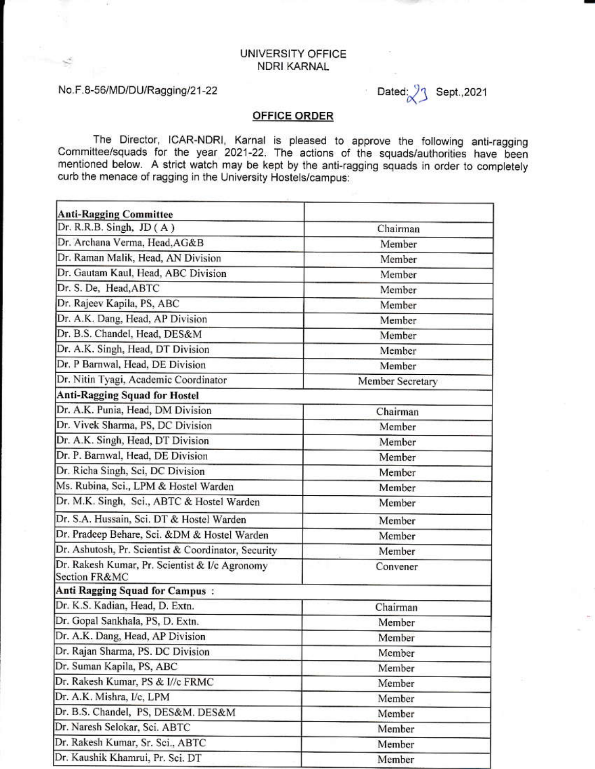## UNIVERSITY OFFICE **NDRI KARNAL**

## No.F.8-56/MD/DU/Ragging/21-22

Dated: Sept., 2021

## **OFFICE ORDER**

The Director, ICAR-NDRI, Karnal is pleased to approve the following anti-ragging Committee/squads for the year 2021-22. The actions of the squads/authorities have been mentioned below. A strict watch may be kept by the anti-ragging squads in order to completely curb the menace of ragging in the University Hostels/campus:

| <b>Anti-Ragging Committee</b>                                   |                  |
|-----------------------------------------------------------------|------------------|
| Dr. R.R.B. Singh, $JD(A)$                                       | Chairman         |
| Dr. Archana Verma, Head, AG&B                                   | Member           |
| Dr. Raman Malik, Head, AN Division                              | Member           |
| Dr. Gautam Kaul, Head, ABC Division                             | Member           |
| Dr. S. De. Head, ABTC                                           | Member           |
| Dr. Rajeev Kapila, PS, ABC                                      | Member           |
| Dr. A.K. Dang, Head, AP Division                                | Member           |
| Dr. B.S. Chandel, Head, DES&M                                   | Member           |
| Dr. A.K. Singh, Head, DT Division                               | Member           |
| Dr. P Barnwal, Head, DE Division                                | Member           |
| Dr. Nitin Tyagi, Academic Coordinator                           | Member Secretary |
| <b>Anti-Ragging Squad for Hostel</b>                            |                  |
| Dr. A.K. Punia, Head, DM Division                               | Chairman         |
| Dr. Vivek Sharma, PS, DC Division                               | Member           |
| Dr. A.K. Singh, Head, DT Division                               | Member           |
| Dr. P. Barnwal, Head, DE Division                               | Member           |
| Dr. Richa Singh, Sci, DC Division                               | Member           |
| Ms. Rubina, Sci., LPM & Hostel Warden                           | Member           |
| Dr. M.K. Singh, Sci., ABTC & Hostel Warden                      | Member           |
| Dr. S.A. Hussain, Sci. DT & Hostel Warden                       | Member           |
| Dr. Pradeep Behare, Sci. &DM & Hostel Warden                    | Member           |
| Dr. Ashutosh, Pr. Scientist & Coordinator, Security             | Member           |
| Dr. Rakesh Kumar, Pr. Scientist & I/c Agronomy<br>Section FR&MC | Convener         |
| Anti Ragging Squad for Campus:                                  |                  |
| Dr. K.S. Kadian, Head, D. Extn.                                 | Chairman         |
| Dr. Gopal Sankhala, PS, D. Extn.                                | Member           |
| Dr. A.K. Dang, Head, AP Division                                | Member           |
| Dr. Rajan Sharma, PS. DC Division                               | Member           |
| Dr. Suman Kapila, PS, ABC                                       | Member           |
| Dr. Rakesh Kumar, PS & I//c FRMC                                | Member           |
| Dr. A.K. Mishra, I/c, LPM                                       | Member           |
| Dr. B.S. Chandel, PS, DES&M. DES&M                              | Member           |
| Dr. Naresh Selokar, Sci. ABTC                                   | Member           |
| Dr. Rakesh Kumar, Sr. Sci., ABTC                                | Member           |
| Dr. Kaushik Khamrui, Pr. Sci. DT                                | Member           |